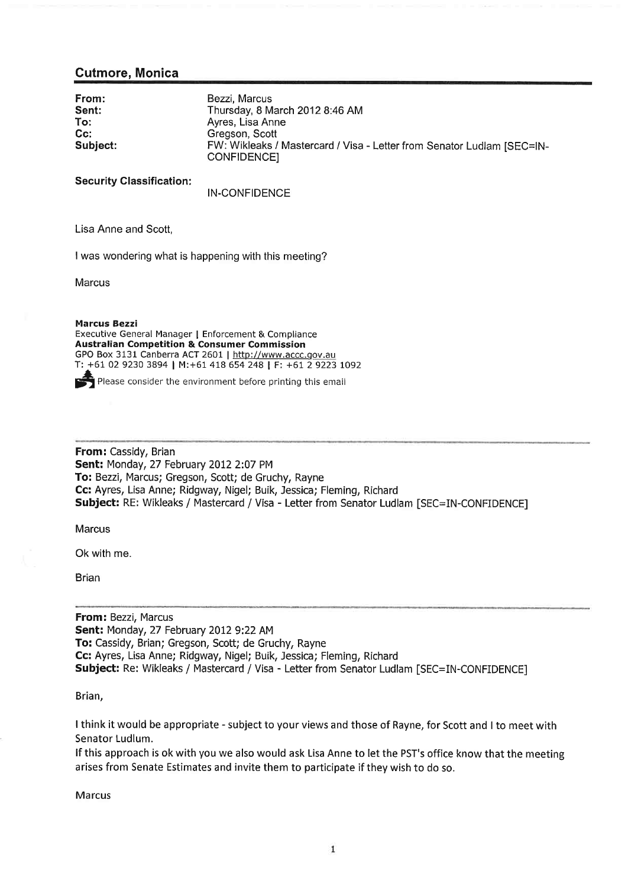## Gutmore, Monica

| From:    | Bezzi, Marcus                                                                         |
|----------|---------------------------------------------------------------------------------------|
| Sent:    | Thursday, 8 March 2012 8:46 AM                                                        |
| To:      | Ayres, Lisa Anne                                                                      |
| $Cc$ :   | Gregson, Scott                                                                        |
| Subject: | FW: Wikleaks / Mastercard / Visa - Letter from Senator Ludlam [SEC=IN-<br>CONFIDENCE] |

Security Classification:

IN-CONFIDENCE

Lisa Anne and Scott,

I was wondering what is happening with this meeting?

**Marcus** 

Marcus Bezzi Executive General Manager I Enforcement & Compliance Australian Competition & Consumer Commissior GPO Box 3131 Canberra ACT 2601 | http://www.accc.gov.a T: +61 02 9230 3894 I M:+61 418 654 248 | F; +61 2 9223 tO92

 $\blacktriangleright$  Please consider the environment before printing this email

From: Cassidy, Brian Sent: Monday, 27 February 2012 2:07 PM To: Bezzi, Marcus; Gregson, Scott; de Gruchy, Rayne Cc: Ayres, Lisa Anne; Ridgway, Nigel; Buik, Jessica; Fleming, Richard Subject: RE: Wikleaks / Mastercard / Visa - Letter from Senator Ludlam [SEC=IN-CONFIDENCE]

**Marcus** 

Ok with me.

Brian

From: Bezzi, Marcus **Sent: Monday, 27 February 2012 9:22 AM** To: Cassidy, Brian; Gregson, Scott; de Gruchy, Rayne Cc: Ayres, Lisa Anne; Ridgway, Nigel; Buik, Jessica; Fleming, Richard Subject: Re: Wikleaks / Mastercard / Visa - Letter from Senator Ludlam [SEC=IN-CONFIDENCE]

Brian,

<sup>I</sup>think it would be appropriate - subject to your views and those of Rayne, for Scott and I to meet with Senator Ludlum.

lf this approach is ok with you we also would ask Lisa Anne to let the PST's office know that the meeting aríses from Senate Estimates and invite them to participate if they wish to do so.

Marcus